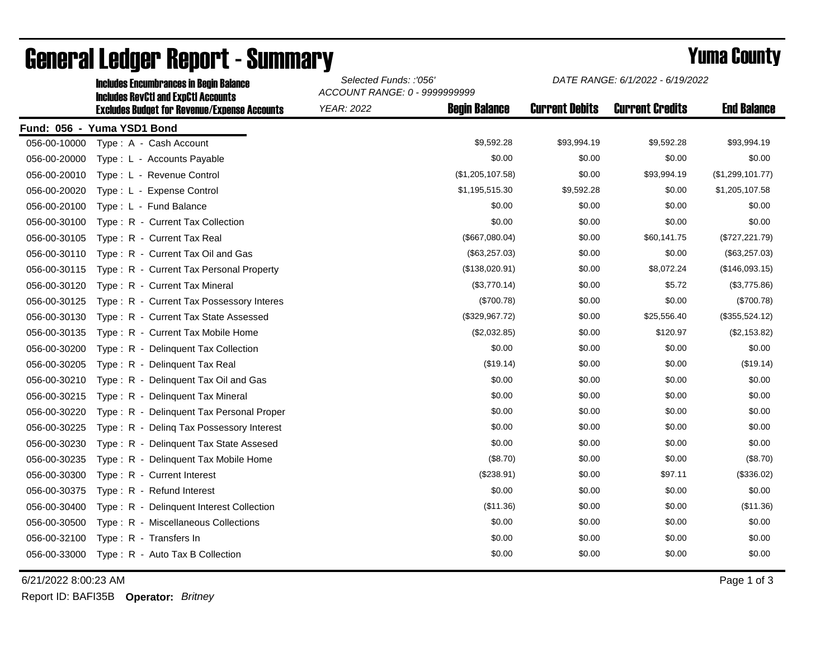|              | <b>Includes RevCtI and ExpCtI Accounts</b>          | ACCOUNT RANGE: 0 - 9999999999 |                      |                       |                        |                    |  |
|--------------|-----------------------------------------------------|-------------------------------|----------------------|-----------------------|------------------------|--------------------|--|
|              | <b>Excludes Budget for Revenue/Expense Accounts</b> | <b>YEAR: 2022</b>             | <b>Begin Balance</b> | <b>Current Debits</b> | <b>Current Credits</b> | <b>End Balance</b> |  |
|              | Fund: 056 - Yuma YSD1 Bond                          |                               |                      |                       |                        |                    |  |
| 056-00-10000 | Type: A - Cash Account                              |                               | \$9,592.28           | \$93,994.19           | \$9,592.28             | \$93,994.19        |  |
| 056-00-20000 | Type: L - Accounts Payable                          |                               | \$0.00               | \$0.00                | \$0.00                 | \$0.00             |  |
| 056-00-20010 | Type: L - Revenue Control                           |                               | (\$1,205,107.58)     | \$0.00                | \$93,994.19            | (\$1,299,101.77)   |  |
| 056-00-20020 | Type: L - Expense Control                           |                               | \$1,195,515.30       | \$9,592.28            | \$0.00                 | \$1,205,107.58     |  |
| 056-00-20100 | Type: L - Fund Balance                              |                               | \$0.00               | \$0.00                | \$0.00                 | \$0.00             |  |
| 056-00-30100 | Type: R - Current Tax Collection                    |                               | \$0.00               | \$0.00                | \$0.00                 | \$0.00             |  |
| 056-00-30105 | Type: R - Current Tax Real                          |                               | (\$667,080.04)       | \$0.00                | \$60,141.75            | (\$727, 221.79)    |  |
| 056-00-30110 | Type: R - Current Tax Oil and Gas                   |                               | (\$63,257.03)        | \$0.00                | \$0.00                 | (\$63,257.03)      |  |
| 056-00-30115 | Type: R - Current Tax Personal Property             |                               | (\$138,020.91)       | \$0.00                | \$8,072.24             | (\$146,093.15)     |  |
| 056-00-30120 | Type: R - Current Tax Mineral                       |                               | (\$3,770.14)         | \$0.00                | \$5.72                 | (\$3,775.86)       |  |
| 056-00-30125 | Type: R - Current Tax Possessory Interes            |                               | (\$700.78)           | \$0.00                | \$0.00                 | (\$700.78)         |  |
| 056-00-30130 | Type: R - Current Tax State Assessed                |                               | (\$329,967.72)       | \$0.00                | \$25,556.40            | (\$355,524.12)     |  |
| 056-00-30135 | Type: R - Current Tax Mobile Home                   |                               | (\$2,032.85)         | \$0.00                | \$120.97               | (\$2,153.82)       |  |
| 056-00-30200 | Type: R - Delinquent Tax Collection                 |                               | \$0.00               | \$0.00                | \$0.00                 | \$0.00             |  |
| 056-00-30205 | Type: R - Delinquent Tax Real                       |                               | (\$19.14)            | \$0.00                | \$0.00                 | (\$19.14)          |  |
| 056-00-30210 | Type: R - Delinquent Tax Oil and Gas                |                               | \$0.00               | \$0.00                | \$0.00                 | \$0.00             |  |
| 056-00-30215 | $Type: R -$<br>Delinquent Tax Mineral               |                               | \$0.00               | \$0.00                | \$0.00                 | \$0.00             |  |
| 056-00-30220 | Type: R - Delinquent Tax Personal Proper            |                               | \$0.00               | \$0.00                | \$0.00                 | \$0.00             |  |
| 056-00-30225 | Type: R - Deling Tax Possessory Interest            |                               | \$0.00               | \$0.00                | \$0.00                 | \$0.00             |  |
| 056-00-30230 | Type: R - Delinquent Tax State Assesed              |                               | \$0.00               | \$0.00                | \$0.00                 | \$0.00             |  |
| 056-00-30235 | Type: R - Delinguent Tax Mobile Home                |                               | (\$8.70)             | \$0.00                | \$0.00                 | (\$8.70)           |  |
| 056-00-30300 | Type: R - Current Interest                          |                               | (\$238.91)           | \$0.00                | \$97.11                | (\$336.02)         |  |
| 056-00-30375 | Type: R - Refund Interest                           |                               | \$0.00               | \$0.00                | \$0.00                 | \$0.00             |  |
| 056-00-30400 | Type: R - Delinquent Interest Collection            |                               | (\$11.36)            | \$0.00                | \$0.00                 | (\$11.36)          |  |
| 056-00-30500 | Type: R - Miscellaneous Collections                 |                               | \$0.00               | \$0.00                | \$0.00                 | \$0.00             |  |
| 056-00-32100 | Type: R - Transfers In                              |                               | \$0.00               | \$0.00                | \$0.00                 | \$0.00             |  |
| 056-00-33000 | Type: R - Auto Tax B Collection                     |                               | \$0.00               | \$0.00                | \$0.00                 | \$0.00             |  |

## General Ledger Report - Summary **Example 2018** Yuma County

Includes Encumbrances in Begin Balance *Selected Funds: :'056'*

6/21/2022 8:00:23 AM Page 1 of 3

Report ID: BAFI35B **Operator:** *Britney*

*DATE RANGE: 6/1/2022 - 6/19/2022*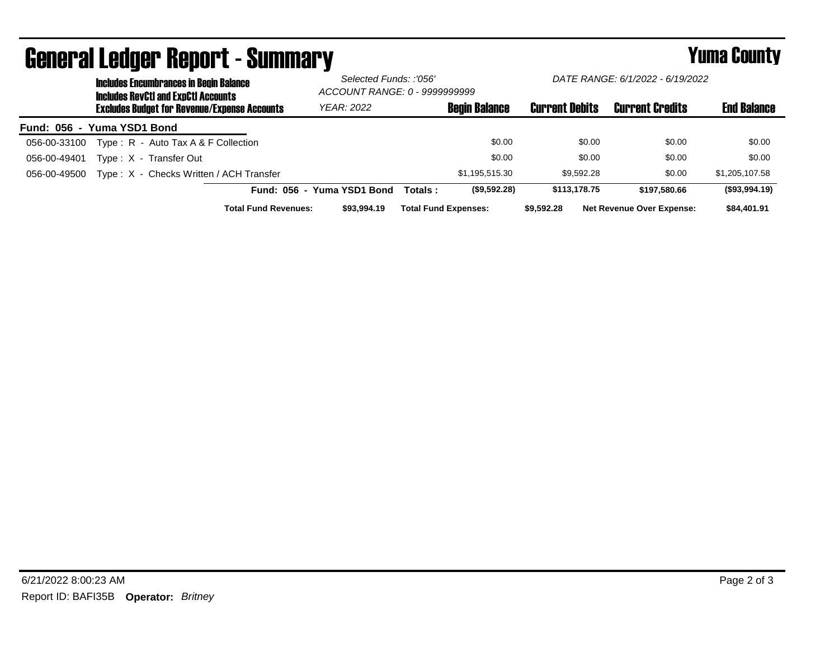|                            | <b>Includes Encumbrances in Begin Balance</b><br><b>Includes RevCtI and ExpCtI Accounts</b> |                            | Selected Funds: :'056'<br>ACCOUNT RANGE: 0 - 9999999999 |                             | DATE RANGE: 6/1/2022 - 6/19/2022 |                                  |                    |
|----------------------------|---------------------------------------------------------------------------------------------|----------------------------|---------------------------------------------------------|-----------------------------|----------------------------------|----------------------------------|--------------------|
|                            | <b>Excludes Budget for Revenue/Expense Accounts</b>                                         | YEAR: 2022                 |                                                         | <b>Begin Balance</b>        | <b>Current Debits</b>            | <b>Current Credits</b>           | <b>End Balance</b> |
| Fund: 056 - Yuma YSD1 Bond |                                                                                             |                            |                                                         |                             |                                  |                                  |                    |
| 056-00-33100               | Type: $R -$ Auto Tax A & F Collection                                                       |                            |                                                         | \$0.00                      | \$0.00                           | \$0.00                           | \$0.00             |
| 056-00-49401               | Type: X - Transfer Out                                                                      |                            |                                                         | \$0.00                      | \$0.00                           | \$0.00                           | \$0.00             |
| 056-00-49500               | Type: X - Checks Written / ACH Transfer                                                     |                            |                                                         | \$1,195,515.30              | \$9.592.28                       | \$0.00                           | \$1,205,107.58     |
|                            |                                                                                             | Fund: 056 - Yuma YSD1 Bond | Totals :                                                | (\$9,592.28)                | \$113,178.75                     | \$197,580,66                     | (\$93,994.19)      |
|                            | <b>Total Fund Revenues:</b>                                                                 | \$93,994.19                |                                                         | <b>Total Fund Expenses:</b> | \$9,592.28                       | <b>Net Revenue Over Expense:</b> | \$84.401.91        |

## General Ledger Report - Summary **Secret Express County** Yuma County